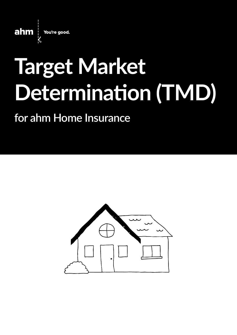

# **Target Market Determination (TMD)**

## **for ahm Home Insurance**

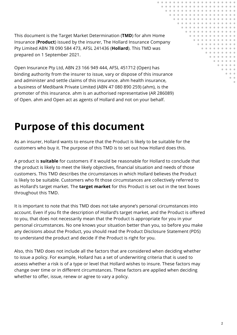This document is the Target Market Determination (**TMD**) for ahm Home Insurance (**Product**) issued by the insurer, The Hollard Insurance Company Pty Limited ABN 78 090 584 473, AFSL 241436 (**Hollard**). This TMD was prepared on 1 September 2021.

Open Insurance Pty Ltd, ABN 23 166 949 444, AFSL 451712 (Open) has binding authority from the insurer to issue, vary or dispose of this insurance and administer and settle claims of this insurance. ahm health insurance, a business of Medibank Private Limited (ABN 47 080 890 259) (ahm), is the promoter of this insurance. ahm is an authorised representative (AR 286089) of Open. ahm and Open act as agents of Hollard and not on your behalf.

## **Purpose of this document**

As an insurer, Hollard wants to ensure that the Product is likely to be suitable for the customers who buy it. The purpose of this TMD is to set out how Hollard does this.

A product is **suitable** for customers if it would be reasonable for Hollard to conclude that the product is likely to meet the likely objectives, financial situation and needs of those customers. This TMD describes the circumstances in which Hollard believes the Product is likely to be suitable. Customers who fit those circumstances are collectively referred to as Hollard's target market. The **target market** for this Product is set out in the text boxes throughout this TMD.

It is important to note that this TMD does not take anyone's personal circumstances into account. Even if you fit the description of Hollard's target market, and the Product is offered to you, that does not necessarily mean that the Product is appropriate for you in your personal circumstances. No one knows your situation better than you, so before you make any decisions about the Product, you should read the Product Disclosure Statement (PDS) to understand the product and decide if the Product is right for you.

Also, this TMD does not include all the factors that are considered when deciding whether to issue a policy. For example, Hollard has a set of underwriting criteria that is used to assess whether a risk is of a type or level that Hollard wishes to insure. These factors may change over time or in different circumstances. These factors are applied when deciding whether to offer, issue, renew or agree to vary a policy.

. . . . . . . . . . . . . . . . .

. . . . . . . . . . . . . . . . . . . . . . . . . . . . . . . . . . . . . . . . . . . . . . . . . . . . . . . . . . . . . . . . . . . . . . . . . . . . . . . . . . . . . . . . . . . . . . . . . . . . . . . . . . . . . . . .

. . . . . . . . . . . . . . . . . . . . . . . . . . .  $\mathbf{a}$  and  $-0.10$  $-0.00$ 

 $\bullet$  $\alpha$ 

 $-0.0000$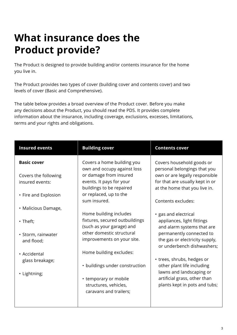## **What insurance does the Product provide?**

The Product is designed to provide building and/or contents insurance for the home you live in.

The Product provides two types of cover (building cover and contents cover) and two levels of cover (Basic and Comprehensive).

The table below provides a broad overview of the Product cover. Before you make any decisions about the Product, you should read the PDS. It provides complete information about the insurance, including coverage, exclusions, excesses, limitations, terms and your rights and obligations.

| <b>Insured events</b>                   | <b>Building cover</b>                                                                 | <b>Contents cover</b>                                                                              |
|-----------------------------------------|---------------------------------------------------------------------------------------|----------------------------------------------------------------------------------------------------|
| <b>Basic cover</b>                      | Covers a home building you<br>own and occupy against loss                             | Covers household goods or<br>personal belongings that you                                          |
| Covers the following<br>insured events: | or damage from insured<br>events. It pays for your<br>buildings to be repaired        | own or are legally responsible<br>for that are usually kept in or<br>at the home that you live in. |
| • Fire and Explosion                    | or replaced, up to the<br>sum insured.                                                | Contents excludes:                                                                                 |
| • Malicious Damage,                     |                                                                                       |                                                                                                    |
| • Theft;                                | Home building includes<br>fixtures, secured outbuildings<br>(such as your garage) and | · gas and electrical<br>appliances, light fittings<br>and alarm systems that are                   |
| · Storm, rainwater<br>and flood;        | other domestic structural<br>improvements on your site.                               | permanently connected to<br>the gas or electricity supply,<br>or underbench dishwashers;           |
| • Accidental                            | Home building excludes:                                                               |                                                                                                    |
| glass breakage;<br>• Lightning;         | • buildings under construction                                                        | • trees, shrubs, hedges or<br>other plant life including<br>lawns and landscaping or               |
|                                         | • temporary or mobile<br>structures, vehicles,<br>caravans and trailers;              | artificial grass, other than<br>plants kept in pots and tubs;                                      |
|                                         |                                                                                       |                                                                                                    |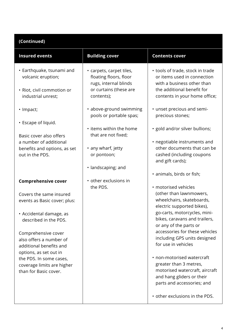#### **(Continued)**

| <b>Insured events</b>                                                                               | <b>Building cover</b>                                                       | <b>Contents cover</b>                                                                                                                             |
|-----------------------------------------------------------------------------------------------------|-----------------------------------------------------------------------------|---------------------------------------------------------------------------------------------------------------------------------------------------|
| • Earthquake, tsunami and<br>volcanic eruption;                                                     | • carpets, carpet tiles,<br>floating floors, floor<br>rugs, internal blinds | • tools of trade, stock in trade<br>or items used in connection<br>with a business other than                                                     |
| • Riot, civil commotion or<br>industrial unrest;                                                    | or curtains (these are<br>contents);                                        | the additional benefit for<br>contents in your home office;                                                                                       |
| • Impact;                                                                                           | • above-ground swimming<br>pools or portable spas;                          | • unset precious and semi-<br>precious stones;                                                                                                    |
| • Escape of liquid.<br>Basic cover also offers                                                      | • items within the home<br>that are not fixed;                              | · gold and/or silver bullions;                                                                                                                    |
| a number of additional<br>benefits and options, as set<br>out in the PDS.                           | • any wharf, jetty<br>or pontoon;                                           | • negotiable instruments and<br>other documents that can be<br>cashed (including coupons<br>and gift cards);                                      |
|                                                                                                     | · landscaping; and                                                          | · animals, birds or fish;                                                                                                                         |
| <b>Comprehensive cover</b>                                                                          | • other exclusions in<br>the PDS.                                           | · motorised vehicles                                                                                                                              |
| Covers the same insured<br>events as Basic cover; plus:                                             |                                                                             | (other than lawnmowers,<br>wheelchairs, skateboards,<br>electric supported bikes),                                                                |
| • Accidental damage, as<br>described in the PDS.                                                    |                                                                             | go-carts, motorcycles, mini-<br>bikes, caravans and trailers,<br>or any of the parts or                                                           |
| Comprehensive cover<br>also offers a number of<br>additional benefits and<br>options, as set out in |                                                                             | accessories for these vehicles<br>including GPS units designed<br>for use in vehicles                                                             |
| the PDS. In some cases,<br>coverage limits are higher<br>than for Basic cover.                      |                                                                             | • non-motorised watercraft<br>greater than 3 metres,<br>motorised watercraft, aircraft<br>and hang gliders or their<br>parts and accessories; and |
|                                                                                                     |                                                                             | • other exclusions in the PDS.                                                                                                                    |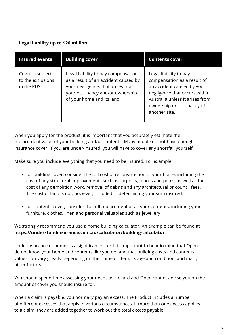| Legal liability up to \$20 million                   |                                                                                                                                                                                   |                                                                                                                                                                                                       |  |  |
|------------------------------------------------------|-----------------------------------------------------------------------------------------------------------------------------------------------------------------------------------|-------------------------------------------------------------------------------------------------------------------------------------------------------------------------------------------------------|--|--|
| <b>Insured events</b>                                | <b>Building cover</b>                                                                                                                                                             | <b>Contents cover</b>                                                                                                                                                                                 |  |  |
| Cover is subject<br>to the exclusions<br>in the PDS. | Legal liability to pay compensation<br>as a result of an accident caused by<br>your negligence, that arises from<br>your occupancy and/or ownership<br>of your home and its land. | Legal liability to pay<br>compensation as a result of<br>an accident caused by your<br>negligence that occurs within<br>Australia unless it arises from<br>ownership or occupancy of<br>another site. |  |  |

When you apply for the product, it is important that you accurately estimate the replacement value of your building and/or contents. Many people do not have enough insurance cover. If you are under-insured, you will have to cover any shortfall yourself.

Make sure you include everything that you need to be insured. For example:

- for building cover, consider the full cost of reconstruction of your home, including the cost of any structural improvements such as carports, fences and pools, as well as the cost of any demolition work, removal of debris and any architectural or council fees. The cost of land is not, however, included in determining your sum insured.
- for contents cover, consider the full replacement of all your contents, including your furniture, clothes, linen and personal valuables such as jewellery.

We strongly recommend you use a home building calculator. An example can be found at **<https://understandinsurance.com.au/calculator/building-calculator>**.

Underinsurance of homes is a significant issue. It is important to bear in mind that Open do not know your home and contents like you do, and that building costs and contents values can vary greatly depending on the home or item, its age and condition, and many other factors.

You should spend time assessing your needs as Hollard and Open cannot advise you on the amount of cover you should insure for.

When a claim is payable, you normally pay an excess. The Product includes a number of different excesses that apply in various circumstances. If more than one excess applies to a claim, they are added together to work out the total excess payable.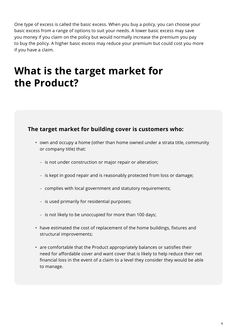One type of excess is called the basic excess. When you buy a policy, you can choose your basic excess from a range of options to suit your needs. A lower basic excess may save you money if you claim on the policy but would normally increase the premium you pay to buy the policy. A higher basic excess may reduce your premium but could cost you more if you have a claim.

## **What is the target market for the Product?**

#### **The target market for building cover is customers who:**

- own and occupy a home (other than home owned under a strata title, community or company title) that:
	- is not under construction or major repair or alteration;
	- is kept in good repair and is reasonably protected from loss or damage;
	- complies with local government and statutory requirements;
	- is used primarily for residential purposes;
	- is not likely to be unoccupied for more than 100 days;
- have estimated the cost of replacement of the home buildings, fixtures and structural improvements;
- are comfortable that the Product appropriately balances or satisfies their need for affordable cover and want cover that is likely to help reduce their net financial loss in the event of a claim to a level they consider they would be able to manage.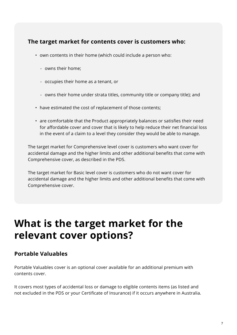#### **The target market for contents cover is customers who:**

- own contents in their home (which could include a person who:
	- owns their home;
	- occupies their home as a tenant, or
	- owns their home under strata titles, community title or company title); and
- have estimated the cost of replacement of those contents;
- are comfortable that the Product appropriately balances or satisfies their need for affordable cover and cover that is likely to help reduce their net financial loss in the event of a claim to a level they consider they would be able to manage.

The target market for Comprehensive level cover is customers who want cover for accidental damage and the higher limits and other additional benefits that come with Comprehensive cover, as described in the PDS.

The target market for Basic level cover is customers who do not want cover for accidental damage and the higher limits and other additional benefits that come with Comprehensive cover.

## **What is the target market for the relevant cover options?**

#### **Portable Valuables**

Portable Valuables cover is an optional cover available for an additional premium with contents cover.

It covers most types of accidental loss or damage to eligible contents items (as listed and not excluded in the PDS or your Certificate of Insurance) if it occurs anywhere in Australia.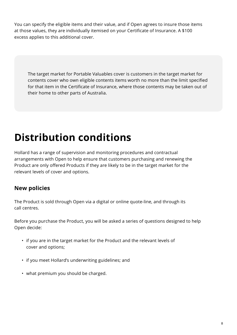You can specify the eligible items and their value, and if Open agrees to insure those items at those values, they are individually itemised on your Certificate of Insurance. A \$100 excess applies to this additional cover.

The target market for Portable Valuables cover is customers in the target market for contents cover who own eligible contents items worth no more than the limit specified for that item in the Certificate of Insurance, where those contents may be taken out of their home to other parts of Australia.

# **Distribution conditions**

Hollard has a range of supervision and monitoring procedures and contractual arrangements with Open to help ensure that customers purchasing and renewing the Product are only offered Products if they are likely to be in the target market for the relevant levels of cover and options.

### **New policies**

The Product is sold through Open via a digital or online quote-line, and through its call centres.

Before you purchase the Product, you will be asked a series of questions designed to help Open decide:

- if you are in the target market for the Product and the relevant levels of cover and options;
- if you meet Hollard's underwriting guidelines; and
- what premium you should be charged.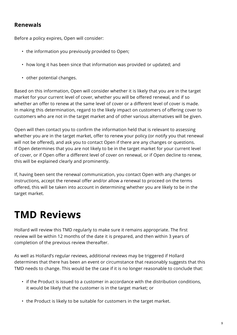#### **Renewals**

Before a policy expires, Open will consider:

- the information you previously provided to Open;
- how long it has been since that information was provided or updated; and
- other potential changes.

Based on this information, Open will consider whether it is likely that you are in the target market for your current level of cover, whether you will be offered renewal, and if so whether an offer to renew at the same level of cover or a different level of cover is made. In making this determination, regard to the likely impact on customers of offering cover to customers who are not in the target market and of other various alternatives will be given.

Open will then contact you to confirm the information held that is relevant to assessing whether you are in the target market, offer to renew your policy (or notify you that renewal will not be offered), and ask you to contact Open if there are any changes or questions. If Open determines that you are not likely to be in the target market for your current level of cover, or if Open offer a different level of cover on renewal, or if Open decline to renew, this will be explained clearly and prominently.

If, having been sent the renewal communication, you contact Open with any changes or instructions, accept the renewal offer and/or allow a renewal to proceed on the terms offered, this will be taken into account in determining whether you are likely to be in the target market.

## **TMD Reviews**

Hollard will review this TMD regularly to make sure it remains appropriate. The first review will be within 12 months of the date it is prepared, and then within 3 years of completion of the previous review thereafter.

As well as Hollard's regular reviews, additional reviews may be triggered if Hollard determines that there has been an event or circumstance that reasonably suggests that this TMD needs to change. This would be the case if it is no longer reasonable to conclude that:

- if the Product is issued to a customer in accordance with the distribution conditions, it would be likely that the customer is in the target market; or
- the Product is likely to be suitable for customers in the target market.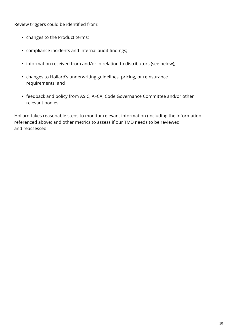Review triggers could be identified from:

- changes to the Product terms;
- compliance incidents and internal audit findings;
- information received from and/or in relation to distributors (see below);
- changes to Hollard's underwriting guidelines, pricing, or reinsurance requirements; and
- feedback and policy from ASIC, AFCA, Code Governance Committee and/or other relevant bodies.

Hollard takes reasonable steps to monitor relevant information (including the information referenced above) and other metrics to assess if our TMD needs to be reviewed and reassessed.